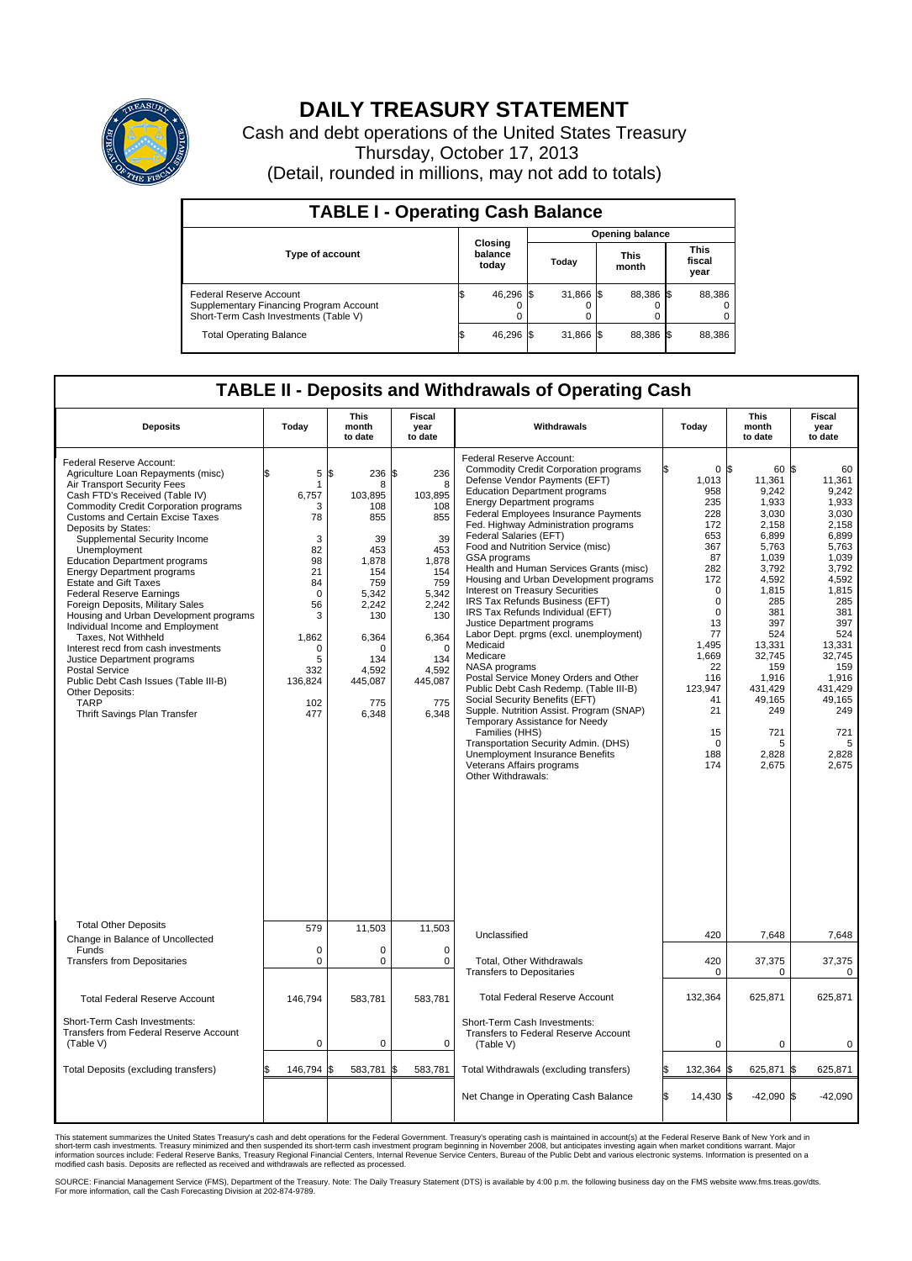

## **DAILY TREASURY STATEMENT**

Cash and debt operations of the United States Treasury Thursday, October 17, 2013 (Detail, rounded in millions, may not add to totals)

| <b>TABLE I - Operating Cash Balance</b>                                                                     |  |                             |  |           |  |                      |  |                               |  |
|-------------------------------------------------------------------------------------------------------------|--|-----------------------------|--|-----------|--|----------------------|--|-------------------------------|--|
| <b>Opening balance</b>                                                                                      |  |                             |  |           |  |                      |  |                               |  |
| <b>Type of account</b>                                                                                      |  | Closing<br>balance<br>today |  | Todav     |  | <b>This</b><br>month |  | <b>This</b><br>fiscal<br>year |  |
| Federal Reserve Account<br>Supplementary Financing Program Account<br>Short-Term Cash Investments (Table V) |  | 46,296 \$                   |  | 31,866 \$ |  | 88,386 \$            |  | 88,386                        |  |
| <b>Total Operating Balance</b>                                                                              |  | 46,296 \$                   |  | 31,866 \$ |  | 88,386 \$            |  | 88,386                        |  |

## **TABLE II - Deposits and Withdrawals of Operating Cash**

| <b>Deposits</b>                                                                                                                                                                                                                                                                                                                                                                                                                                                                                                                                                                                                                                                                                                                                                                                      | Today                                                                                                                                             | This<br>month<br>to date                                                                                                                                      | <b>Fiscal</b><br>year<br>to date                                                                                                                                     | Withdrawals                                                                                                                                                                                                                                                                                                                                                                                                                                                                                                                                                                                                                                                                                                                                                                                                                                                                                                                                                                                                                     | Today                                                                                                                                                                                                                                   | <b>This</b><br>month<br>to date                                                                                                                                                                                                     | Fiscal<br>year<br>to date                                                                                                                                                                                                        |
|------------------------------------------------------------------------------------------------------------------------------------------------------------------------------------------------------------------------------------------------------------------------------------------------------------------------------------------------------------------------------------------------------------------------------------------------------------------------------------------------------------------------------------------------------------------------------------------------------------------------------------------------------------------------------------------------------------------------------------------------------------------------------------------------------|---------------------------------------------------------------------------------------------------------------------------------------------------|---------------------------------------------------------------------------------------------------------------------------------------------------------------|----------------------------------------------------------------------------------------------------------------------------------------------------------------------|---------------------------------------------------------------------------------------------------------------------------------------------------------------------------------------------------------------------------------------------------------------------------------------------------------------------------------------------------------------------------------------------------------------------------------------------------------------------------------------------------------------------------------------------------------------------------------------------------------------------------------------------------------------------------------------------------------------------------------------------------------------------------------------------------------------------------------------------------------------------------------------------------------------------------------------------------------------------------------------------------------------------------------|-----------------------------------------------------------------------------------------------------------------------------------------------------------------------------------------------------------------------------------------|-------------------------------------------------------------------------------------------------------------------------------------------------------------------------------------------------------------------------------------|----------------------------------------------------------------------------------------------------------------------------------------------------------------------------------------------------------------------------------|
| Federal Reserve Account:<br>Agriculture Loan Repayments (misc)<br>Air Transport Security Fees<br>Cash FTD's Received (Table IV)<br><b>Commodity Credit Corporation programs</b><br><b>Customs and Certain Excise Taxes</b><br>Deposits by States:<br>Supplemental Security Income<br>Unemployment<br><b>Education Department programs</b><br><b>Energy Department programs</b><br><b>Estate and Gift Taxes</b><br><b>Federal Reserve Earnings</b><br>Foreign Deposits, Military Sales<br>Housing and Urban Development programs<br>Individual Income and Employment<br>Taxes, Not Withheld<br>Interest recd from cash investments<br>Justice Department programs<br><b>Postal Service</b><br>Public Debt Cash Issues (Table III-B)<br>Other Deposits:<br><b>TARP</b><br>Thrift Savings Plan Transfer | 5<br>\$<br>1<br>6,757<br>3<br>78<br>3<br>82<br>98<br>21<br>84<br>$\mathbf 0$<br>56<br>3<br>1,862<br>$\Omega$<br>5<br>332<br>136,824<br>102<br>477 | \$<br>236<br>8<br>103,895<br>108<br>855<br>39<br>453<br>1,878<br>154<br>759<br>5,342<br>2,242<br>130<br>6,364<br>O<br>134<br>4,592<br>445,087<br>775<br>6,348 | \$<br>236<br>8<br>103,895<br>108<br>855<br>39<br>453<br>1,878<br>154<br>759<br>5,342<br>2,242<br>130<br>6,364<br>$\Omega$<br>134<br>4,592<br>445,087<br>775<br>6,348 | Federal Reserve Account:<br><b>Commodity Credit Corporation programs</b><br>Defense Vendor Payments (EFT)<br><b>Education Department programs</b><br><b>Energy Department programs</b><br><b>Federal Employees Insurance Payments</b><br>Fed. Highway Administration programs<br>Federal Salaries (EFT)<br>Food and Nutrition Service (misc)<br>GSA programs<br>Health and Human Services Grants (misc)<br>Housing and Urban Development programs<br>Interest on Treasury Securities<br>IRS Tax Refunds Business (EFT)<br>IRS Tax Refunds Individual (EFT)<br>Justice Department programs<br>Labor Dept. prgms (excl. unemployment)<br>Medicaid<br>Medicare<br>NASA programs<br>Postal Service Money Orders and Other<br>Public Debt Cash Redemp. (Table III-B)<br>Social Security Benefits (EFT)<br>Supple. Nutrition Assist. Program (SNAP)<br>Temporary Assistance for Needy<br>Families (HHS)<br>Transportation Security Admin. (DHS)<br>Unemployment Insurance Benefits<br>Veterans Affairs programs<br>Other Withdrawals: | 0 <sup>8</sup><br>1,013<br>958<br>235<br>228<br>172<br>653<br>367<br>87<br>282<br>172<br>$\mathbf 0$<br>$\mathbf 0$<br>$\mathbf 0$<br>13<br>77<br>1,495<br>1,669<br>22<br>116<br>123,947<br>41<br>21<br>15<br>$\mathbf 0$<br>188<br>174 | 60 \$<br>11,361<br>9,242<br>1,933<br>3.030<br>2,158<br>6,899<br>5,763<br>1.039<br>3,792<br>4,592<br>1,815<br>285<br>381<br>397<br>524<br>13,331<br>32,745<br>159<br>1,916<br>431.429<br>49,165<br>249<br>721<br>5<br>2,828<br>2,675 | 60<br>11,361<br>9,242<br>1,933<br>3,030<br>2,158<br>6,899<br>5,763<br>1.039<br>3,792<br>4,592<br>1,815<br>285<br>381<br>397<br>524<br>13,331<br>32.745<br>159<br>1,916<br>431.429<br>49,165<br>249<br>721<br>5<br>2,828<br>2,675 |
| <b>Total Other Deposits</b><br>Change in Balance of Uncollected                                                                                                                                                                                                                                                                                                                                                                                                                                                                                                                                                                                                                                                                                                                                      | 579                                                                                                                                               | 11,503                                                                                                                                                        | 11,503                                                                                                                                                               | Unclassified                                                                                                                                                                                                                                                                                                                                                                                                                                                                                                                                                                                                                                                                                                                                                                                                                                                                                                                                                                                                                    | 420                                                                                                                                                                                                                                     | 7,648                                                                                                                                                                                                                               | 7,648                                                                                                                                                                                                                            |
| Funds<br><b>Transfers from Depositaries</b>                                                                                                                                                                                                                                                                                                                                                                                                                                                                                                                                                                                                                                                                                                                                                          | $\mathbf 0$<br>$\mathbf 0$                                                                                                                        | 0<br>0                                                                                                                                                        | $\mathbf 0$<br>$\mathbf 0$                                                                                                                                           | Total, Other Withdrawals<br>Transfers to Depositaries                                                                                                                                                                                                                                                                                                                                                                                                                                                                                                                                                                                                                                                                                                                                                                                                                                                                                                                                                                           | 420<br>$\mathbf 0$                                                                                                                                                                                                                      | 37,375<br>0                                                                                                                                                                                                                         | 37,375<br>$\mathbf 0$                                                                                                                                                                                                            |
| <b>Total Federal Reserve Account</b>                                                                                                                                                                                                                                                                                                                                                                                                                                                                                                                                                                                                                                                                                                                                                                 | 146.794                                                                                                                                           | 583.781                                                                                                                                                       | 583.781                                                                                                                                                              | <b>Total Federal Reserve Account</b>                                                                                                                                                                                                                                                                                                                                                                                                                                                                                                                                                                                                                                                                                                                                                                                                                                                                                                                                                                                            | 132,364                                                                                                                                                                                                                                 | 625,871                                                                                                                                                                                                                             | 625,871                                                                                                                                                                                                                          |
| Short-Term Cash Investments:<br><b>Transfers from Federal Reserve Account</b><br>(Table V)                                                                                                                                                                                                                                                                                                                                                                                                                                                                                                                                                                                                                                                                                                           | $\mathbf 0$                                                                                                                                       | 0                                                                                                                                                             | 0                                                                                                                                                                    | Short-Term Cash Investments:<br>Transfers to Federal Reserve Account<br>(Table V)                                                                                                                                                                                                                                                                                                                                                                                                                                                                                                                                                                                                                                                                                                                                                                                                                                                                                                                                               | 0                                                                                                                                                                                                                                       | 0                                                                                                                                                                                                                                   | 0                                                                                                                                                                                                                                |
| Total Deposits (excluding transfers)                                                                                                                                                                                                                                                                                                                                                                                                                                                                                                                                                                                                                                                                                                                                                                 | 146,794                                                                                                                                           | 583,781                                                                                                                                                       | 583,781                                                                                                                                                              | Total Withdrawals (excluding transfers)                                                                                                                                                                                                                                                                                                                                                                                                                                                                                                                                                                                                                                                                                                                                                                                                                                                                                                                                                                                         | 132,364 \$                                                                                                                                                                                                                              | 625,871                                                                                                                                                                                                                             | S.<br>625,871                                                                                                                                                                                                                    |
|                                                                                                                                                                                                                                                                                                                                                                                                                                                                                                                                                                                                                                                                                                                                                                                                      |                                                                                                                                                   |                                                                                                                                                               |                                                                                                                                                                      | Net Change in Operating Cash Balance                                                                                                                                                                                                                                                                                                                                                                                                                                                                                                                                                                                                                                                                                                                                                                                                                                                                                                                                                                                            | l\$<br>14,430 \$                                                                                                                                                                                                                        | $-42,090$ \$                                                                                                                                                                                                                        | $-42,090$                                                                                                                                                                                                                        |

This statement summarizes the United States Treasury's cash and debt operations for the Federal Government. Treasury's operating cash is maintained in account(s) at the Federal Reserve Bank of New York and in<br>short-term ca

SOURCE: Financial Management Service (FMS), Department of the Treasury. Note: The Daily Treasury Statement (DTS) is available by 4:00 p.m. the following business day on the FMS website www.fms.treas.gov/dts.<br>For more infor